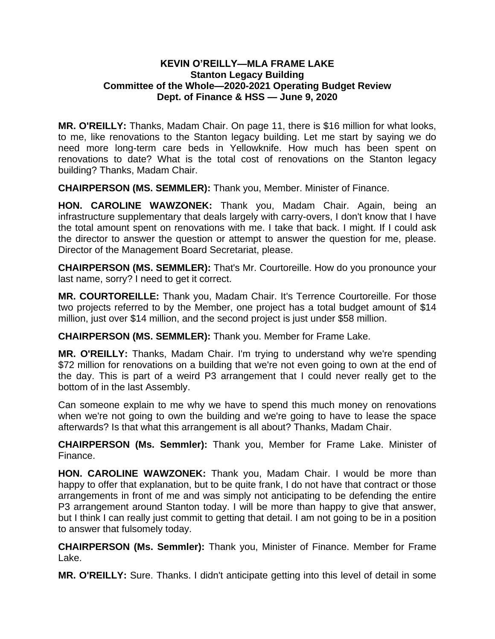## **KEVIN O'REILLY—MLA FRAME LAKE Stanton Legacy Building Committee of the Whole—2020-2021 Operating Budget Review Dept. of Finance & HSS — June 9, 2020**

**MR. O'REILLY:** Thanks, Madam Chair. On page 11, there is \$16 million for what looks, to me, like renovations to the Stanton legacy building. Let me start by saying we do need more long-term care beds in Yellowknife. How much has been spent on renovations to date? What is the total cost of renovations on the Stanton legacy building? Thanks, Madam Chair.

**CHAIRPERSON (MS. SEMMLER):** Thank you, Member. Minister of Finance.

**HON. CAROLINE WAWZONEK:** Thank you, Madam Chair. Again, being an infrastructure supplementary that deals largely with carry-overs, I don't know that I have the total amount spent on renovations with me. I take that back. I might. If I could ask the director to answer the question or attempt to answer the question for me, please. Director of the Management Board Secretariat, please.

**CHAIRPERSON (MS. SEMMLER):** That's Mr. Courtoreille. How do you pronounce your last name, sorry? I need to get it correct.

**MR. COURTOREILLE:** Thank you, Madam Chair. It's Terrence Courtoreille. For those two projects referred to by the Member, one project has a total budget amount of \$14 million, just over \$14 million, and the second project is just under \$58 million.

**CHAIRPERSON (MS. SEMMLER):** Thank you. Member for Frame Lake.

**MR. O'REILLY:** Thanks, Madam Chair. I'm trying to understand why we're spending \$72 million for renovations on a building that we're not even going to own at the end of the day. This is part of a weird P3 arrangement that I could never really get to the bottom of in the last Assembly.

Can someone explain to me why we have to spend this much money on renovations when we're not going to own the building and we're going to have to lease the space afterwards? Is that what this arrangement is all about? Thanks, Madam Chair.

**CHAIRPERSON (Ms. Semmler):** Thank you, Member for Frame Lake. Minister of Finance.

**HON. CAROLINE WAWZONEK:** Thank you, Madam Chair. I would be more than happy to offer that explanation, but to be quite frank, I do not have that contract or those arrangements in front of me and was simply not anticipating to be defending the entire P3 arrangement around Stanton today. I will be more than happy to give that answer, but I think I can really just commit to getting that detail. I am not going to be in a position to answer that fulsomely today.

**CHAIRPERSON (Ms. Semmler):** Thank you, Minister of Finance. Member for Frame Lake.

**MR. O'REILLY:** Sure. Thanks. I didn't anticipate getting into this level of detail in some